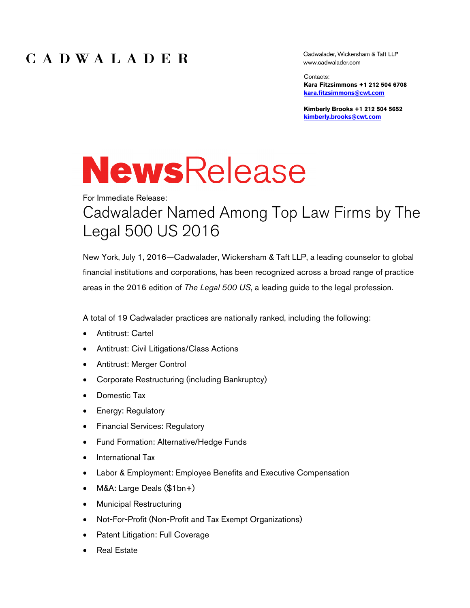Cadwalader, Wickersham & Taft LLP www.cadwalader.com

Contacts: **Kara Fitzsimmons +1 212 504 6708 kara.fitzsimmons@cwt.com**

**Kimberly Brooks +1 212 504 5652 kimberly.brooks@cwt.com** 

# **NewsRelease**

# For Immediate Release: Cadwalader Named Among Top Law Firms by The Legal 500 US 2016

New York, July 1, 2016—Cadwalader, Wickersham & Taft LLP, a leading counselor to global financial institutions and corporations, has been recognized across a broad range of practice areas in the 2016 edition of *The Legal 500 US*, a leading guide to the legal profession.

A total of 19 Cadwalader practices are nationally ranked, including the following:

- Antitrust: Cartel
- Antitrust: Civil Litigations/Class Actions
- Antitrust: Merger Control
- Corporate Restructuring (including Bankruptcy)
- Domestic Tax
- **Energy: Regulatory**
- Financial Services: Regulatory
- Fund Formation: Alternative/Hedge Funds
- International Tax
- Labor & Employment: Employee Benefits and Executive Compensation
- M&A: Large Deals (\$1bn+)
- Municipal Restructuring
- Not-For-Profit (Non-Profit and Tax Exempt Organizations)
- Patent Litigation: Full Coverage
- Real Estate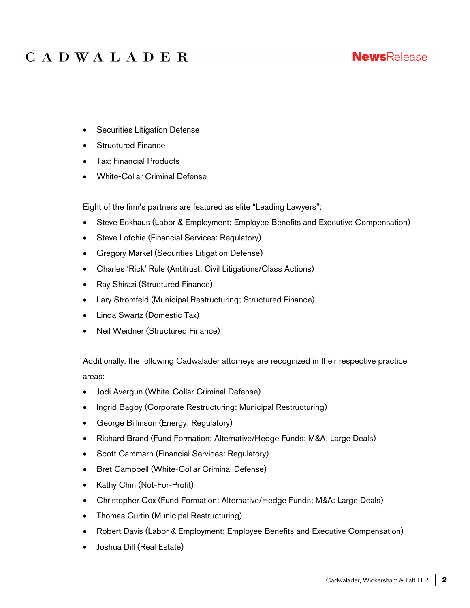#### **NewsRelease**

- **•** Securities Litigation Defense
- Structured Finance
- Tax: Financial Products
- White-Collar Criminal Defense

Eight of the firm's partners are featured as elite "Leading Lawyers":

- Steve Eckhaus (Labor & Employment: Employee Benefits and Executive Compensation)
- Steve Lofchie (Financial Services: Regulatory)
- Gregory Markel (Securities Litigation Defense)
- Charles 'Rick' Rule (Antitrust: Civil Litigations/Class Actions)
- Ray Shirazi (Structured Finance)
- Lary Stromfeld (Municipal Restructuring; Structured Finance)
- Linda Swartz (Domestic Tax)
- Neil Weidner (Structured Finance)

Additionally, the following Cadwalader attorneys are recognized in their respective practice areas:

- Jodi Avergun (White-Collar Criminal Defense)
- Ingrid Bagby (Corporate Restructuring; Municipal Restructuring)
- George Billinson (Energy: Regulatory)
- Richard Brand (Fund Formation: Alternative/Hedge Funds; M&A: Large Deals)
- Scott Cammarn (Financial Services: Regulatory)
- Bret Campbell (White-Collar Criminal Defense)
- Kathy Chin (Not-For-Profit)
- Christopher Cox (Fund Formation: Alternative/Hedge Funds; M&A: Large Deals)
- Thomas Curtin (Municipal Restructuring)
- Robert Davis (Labor & Employment: Employee Benefits and Executive Compensation)
- Joshua Dill (Real Estate)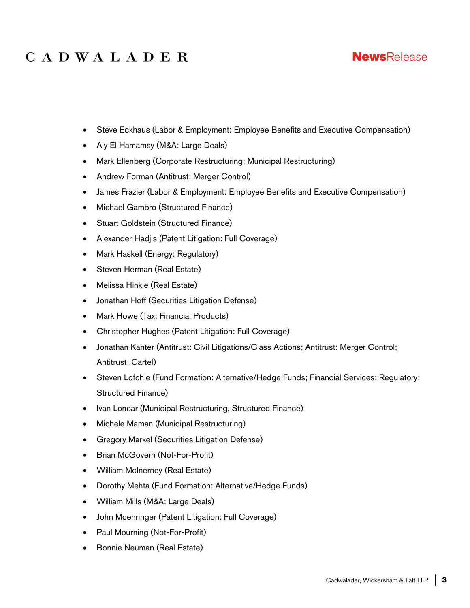#### **NewsRelease**

- Steve Eckhaus (Labor & Employment: Employee Benefits and Executive Compensation)
- Aly El Hamamsy (M&A: Large Deals)
- Mark Ellenberg (Corporate Restructuring; Municipal Restructuring)
- Andrew Forman (Antitrust: Merger Control)
- James Frazier (Labor & Employment: Employee Benefits and Executive Compensation)
- Michael Gambro (Structured Finance)
- Stuart Goldstein (Structured Finance)
- Alexander Hadjis (Patent Litigation: Full Coverage)
- Mark Haskell (Energy: Regulatory)
- Steven Herman (Real Estate)
- Melissa Hinkle (Real Estate)
- Jonathan Hoff (Securities Litigation Defense)
- Mark Howe (Tax: Financial Products)
- Christopher Hughes (Patent Litigation: Full Coverage)
- Jonathan Kanter (Antitrust: Civil Litigations/Class Actions; Antitrust: Merger Control; Antitrust: Cartel)
- Steven Lofchie (Fund Formation: Alternative/Hedge Funds; Financial Services: Regulatory; Structured Finance)
- Ivan Loncar (Municipal Restructuring, Structured Finance)
- Michele Maman (Municipal Restructuring)
- Gregory Markel (Securities Litigation Defense)
- Brian McGovern (Not-For-Profit)
- William McInerney (Real Estate)
- Dorothy Mehta (Fund Formation: Alternative/Hedge Funds)
- William Mills (M&A: Large Deals)
- John Moehringer (Patent Litigation: Full Coverage)
- Paul Mourning (Not-For-Profit)
- **•** Bonnie Neuman (Real Estate)